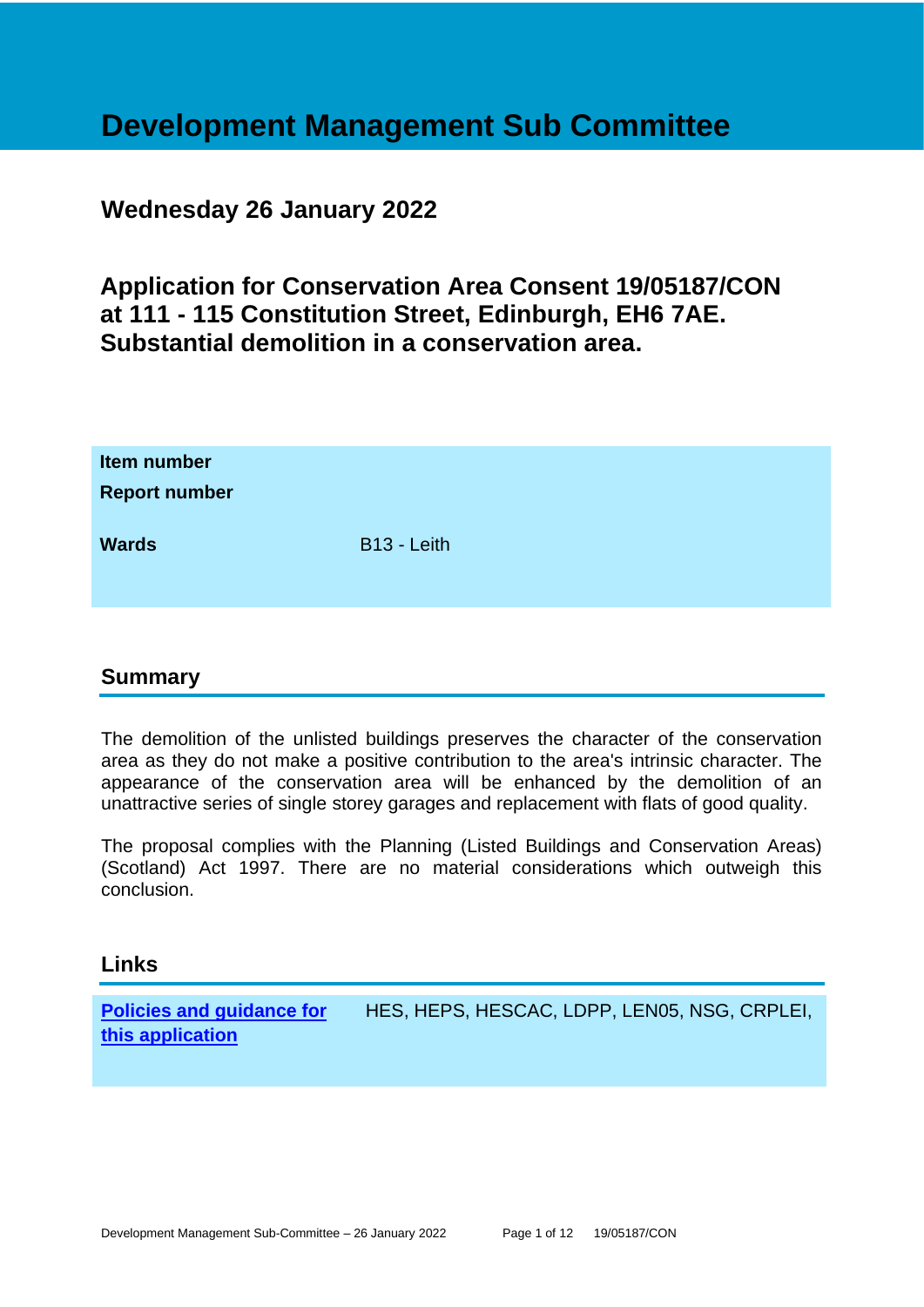## **Development Management Sub Committee**

## **Wednesday 26 January 2022**

**Application for Conservation Area Consent 19/05187/CON at 111 - 115 Constitution Street, Edinburgh, EH6 7AE. Substantial demolition in a conservation area.**

| Item number<br><b>Report number</b> |                         |
|-------------------------------------|-------------------------|
| <b>Wards</b>                        | B <sub>13</sub> - Leith |

#### **Summary**

The demolition of the unlisted buildings preserves the character of the conservation area as they do not make a positive contribution to the area's intrinsic character. The appearance of the conservation area will be enhanced by the demolition of an unattractive series of single storey garages and replacement with flats of good quality.

The proposal complies with the Planning (Listed Buildings and Conservation Areas) (Scotland) Act 1997. There are no material considerations which outweigh this conclusion.

#### **Links**

**[Policies and guidance for](file:///C:/uniform/temp/uf04148.rtf%23Policies)  [this application](file:///C:/uniform/temp/uf04148.rtf%23Policies)** HES, HEPS, HESCAC, LDPP, LEN05, NSG, CRPLEI,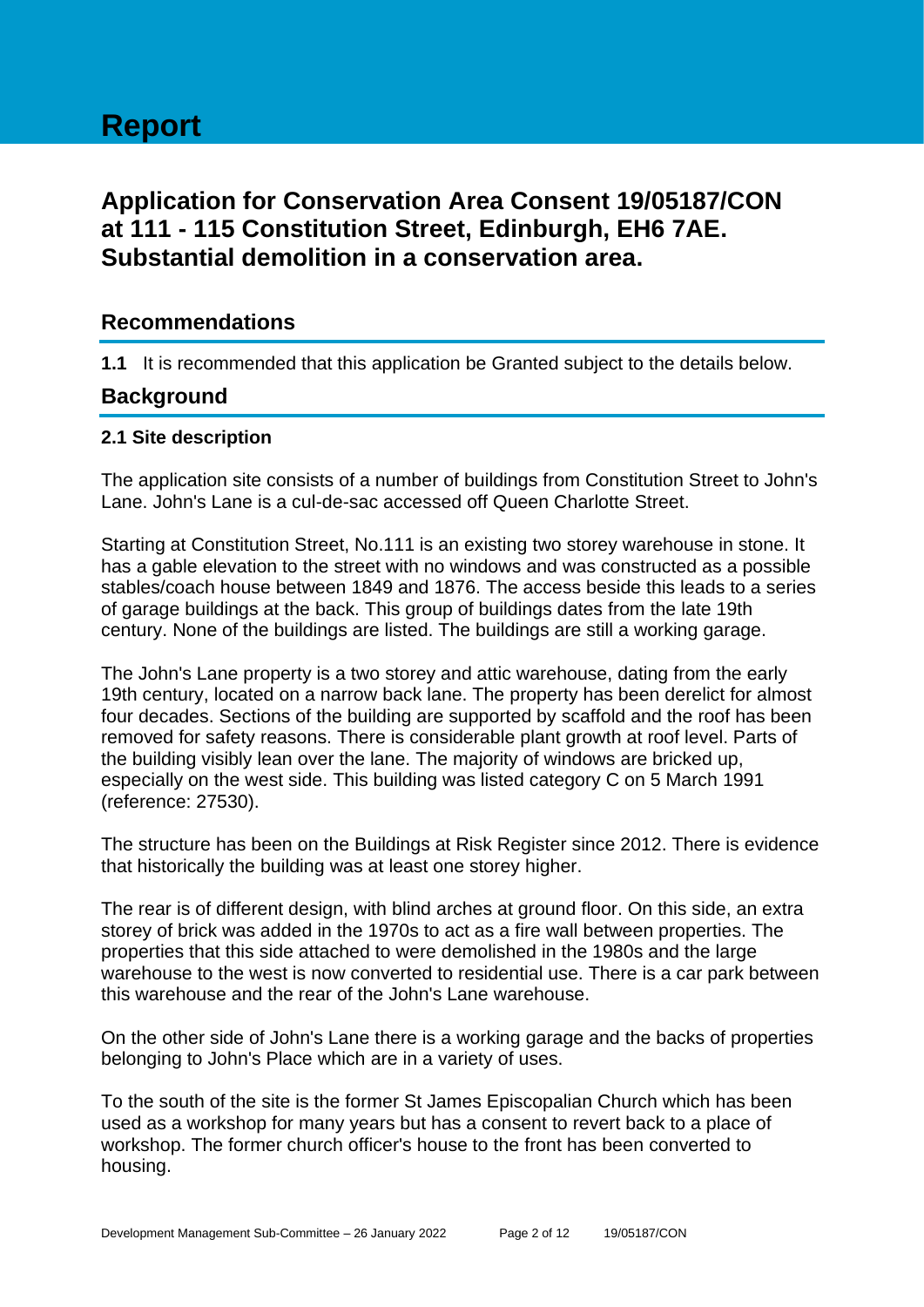# **Report**

## **Application for Conservation Area Consent 19/05187/CON at 111 - 115 Constitution Street, Edinburgh, EH6 7AE. Substantial demolition in a conservation area.**

#### **Recommendations**

**1.1** It is recommended that this application be Granted subject to the details below.

#### **Background**

#### **2.1 Site description**

The application site consists of a number of buildings from Constitution Street to John's Lane. John's Lane is a cul-de-sac accessed off Queen Charlotte Street.

Starting at Constitution Street, No.111 is an existing two storey warehouse in stone. It has a gable elevation to the street with no windows and was constructed as a possible stables/coach house between 1849 and 1876. The access beside this leads to a series of garage buildings at the back. This group of buildings dates from the late 19th century. None of the buildings are listed. The buildings are still a working garage.

The John's Lane property is a two storey and attic warehouse, dating from the early 19th century, located on a narrow back lane. The property has been derelict for almost four decades. Sections of the building are supported by scaffold and the roof has been removed for safety reasons. There is considerable plant growth at roof level. Parts of the building visibly lean over the lane. The majority of windows are bricked up, especially on the west side. This building was listed category C on 5 March 1991 (reference: 27530).

The structure has been on the Buildings at Risk Register since 2012. There is evidence that historically the building was at least one storey higher.

The rear is of different design, with blind arches at ground floor. On this side, an extra storey of brick was added in the 1970s to act as a fire wall between properties. The properties that this side attached to were demolished in the 1980s and the large warehouse to the west is now converted to residential use. There is a car park between this warehouse and the rear of the John's Lane warehouse.

On the other side of John's Lane there is a working garage and the backs of properties belonging to John's Place which are in a variety of uses.

To the south of the site is the former St James Episcopalian Church which has been used as a workshop for many years but has a consent to revert back to a place of workshop. The former church officer's house to the front has been converted to housing.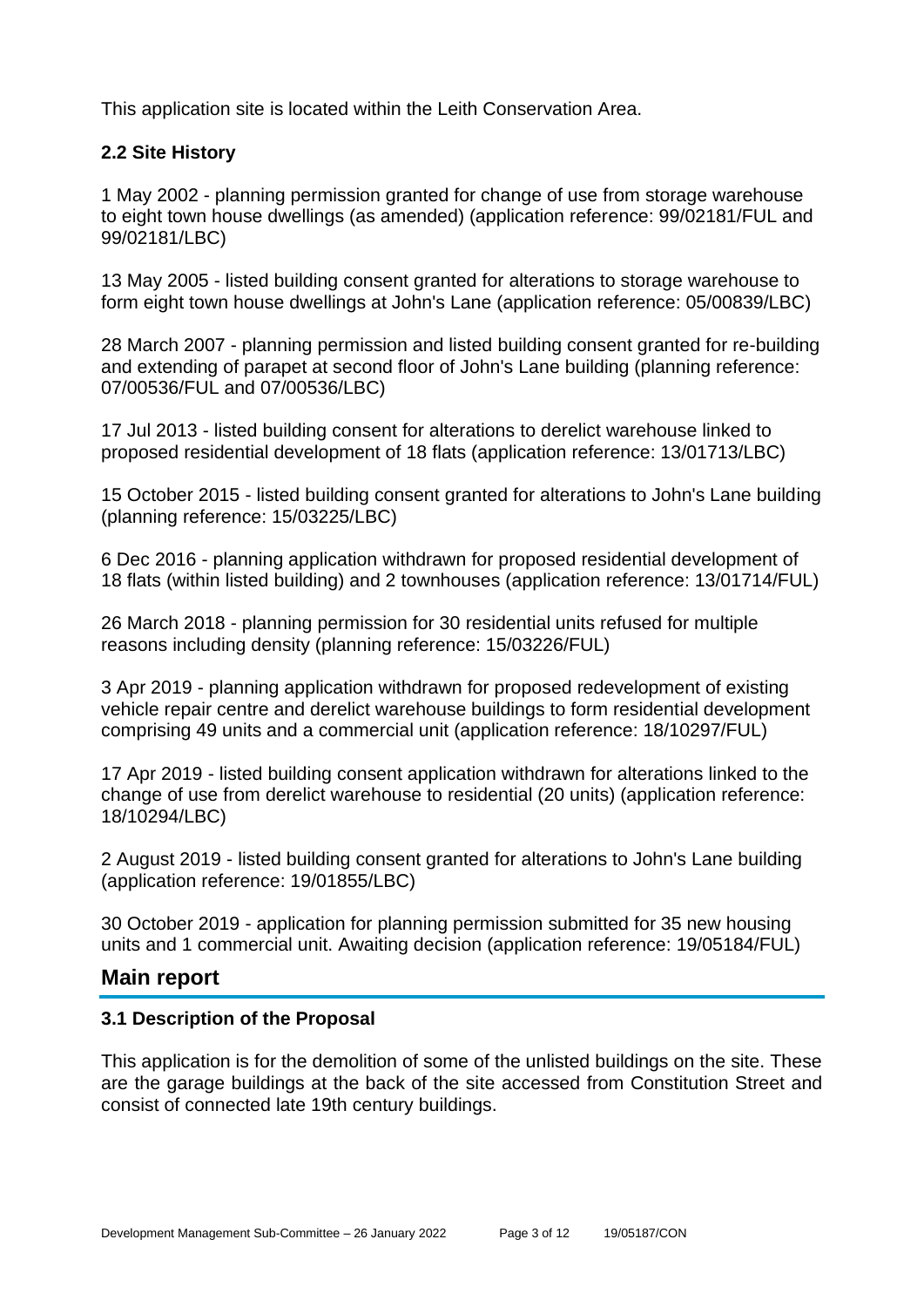This application site is located within the Leith Conservation Area.

#### **2.2 Site History**

1 May 2002 - planning permission granted for change of use from storage warehouse to eight town house dwellings (as amended) (application reference: 99/02181/FUL and 99/02181/LBC)

13 May 2005 - listed building consent granted for alterations to storage warehouse to form eight town house dwellings at John's Lane (application reference: 05/00839/LBC)

28 March 2007 - planning permission and listed building consent granted for re-building and extending of parapet at second floor of John's Lane building (planning reference: 07/00536/FUL and 07/00536/LBC)

17 Jul 2013 - listed building consent for alterations to derelict warehouse linked to proposed residential development of 18 flats (application reference: 13/01713/LBC)

15 October 2015 - listed building consent granted for alterations to John's Lane building (planning reference: 15/03225/LBC)

6 Dec 2016 - planning application withdrawn for proposed residential development of 18 flats (within listed building) and 2 townhouses (application reference: 13/01714/FUL)

26 March 2018 - planning permission for 30 residential units refused for multiple reasons including density (planning reference: 15/03226/FUL)

3 Apr 2019 - planning application withdrawn for proposed redevelopment of existing vehicle repair centre and derelict warehouse buildings to form residential development comprising 49 units and a commercial unit (application reference: 18/10297/FUL)

17 Apr 2019 - listed building consent application withdrawn for alterations linked to the change of use from derelict warehouse to residential (20 units) (application reference: 18/10294/LBC)

2 August 2019 - listed building consent granted for alterations to John's Lane building (application reference: 19/01855/LBC)

30 October 2019 - application for planning permission submitted for 35 new housing units and 1 commercial unit. Awaiting decision (application reference: 19/05184/FUL)

#### **Main report**

#### **3.1 Description of the Proposal**

This application is for the demolition of some of the unlisted buildings on the site. These are the garage buildings at the back of the site accessed from Constitution Street and consist of connected late 19th century buildings.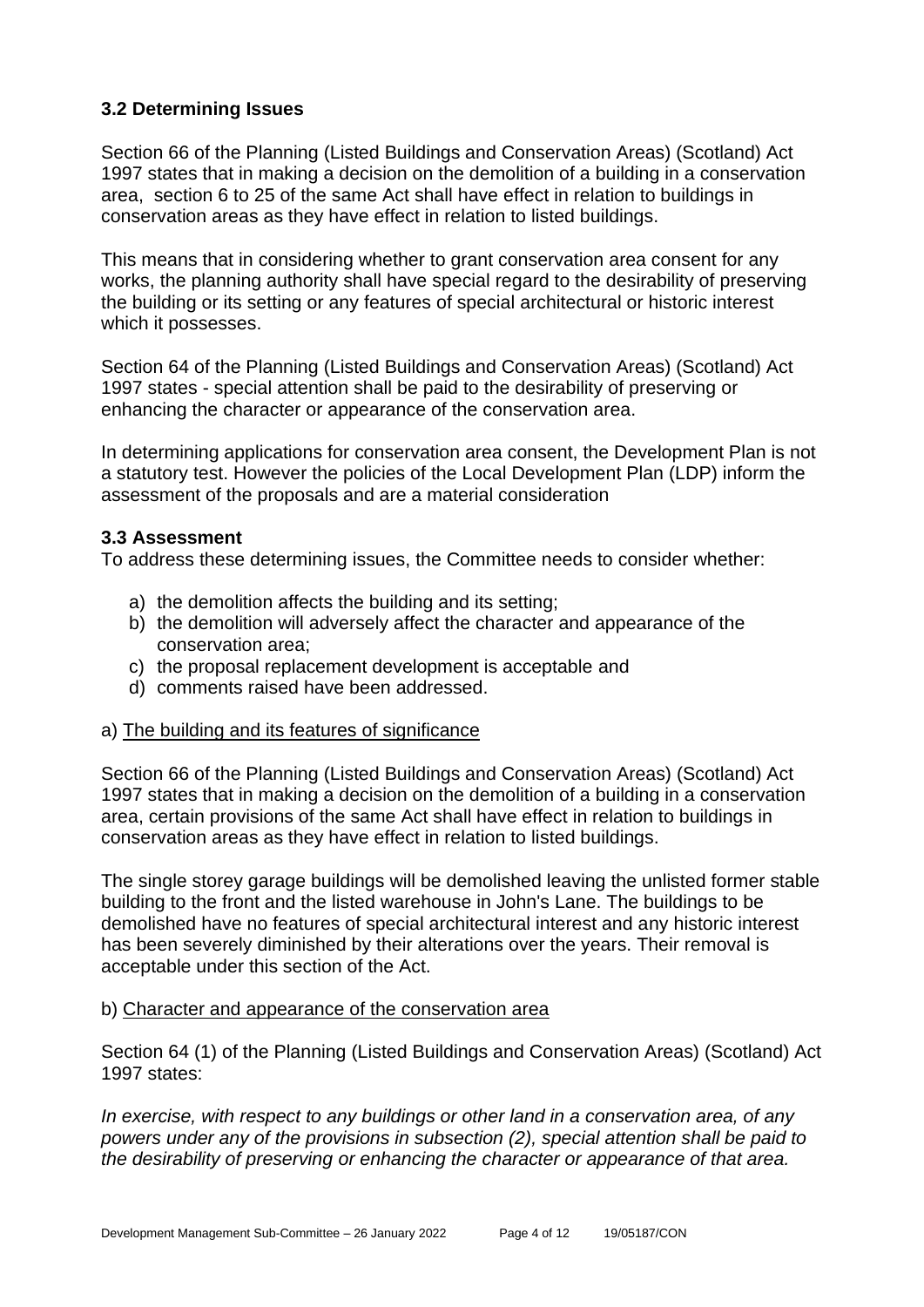#### **3.2 Determining Issues**

Section 66 of the Planning (Listed Buildings and Conservation Areas) (Scotland) Act 1997 states that in making a decision on the demolition of a building in a conservation area, section 6 to 25 of the same Act shall have effect in relation to buildings in conservation areas as they have effect in relation to listed buildings.

This means that in considering whether to grant conservation area consent for any works, the planning authority shall have special regard to the desirability of preserving the building or its setting or any features of special architectural or historic interest which it possesses.

Section 64 of the Planning (Listed Buildings and Conservation Areas) (Scotland) Act 1997 states - special attention shall be paid to the desirability of preserving or enhancing the character or appearance of the conservation area.

In determining applications for conservation area consent, the Development Plan is not a statutory test. However the policies of the Local Development Plan (LDP) inform the assessment of the proposals and are a material consideration

#### **3.3 Assessment**

To address these determining issues, the Committee needs to consider whether:

- a) the demolition affects the building and its setting;
- b) the demolition will adversely affect the character and appearance of the conservation area;
- c) the proposal replacement development is acceptable and
- d) comments raised have been addressed.

#### a) The building and its features of significance

Section 66 of the Planning (Listed Buildings and Conservation Areas) (Scotland) Act 1997 states that in making a decision on the demolition of a building in a conservation area, certain provisions of the same Act shall have effect in relation to buildings in conservation areas as they have effect in relation to listed buildings.

The single storey garage buildings will be demolished leaving the unlisted former stable building to the front and the listed warehouse in John's Lane. The buildings to be demolished have no features of special architectural interest and any historic interest has been severely diminished by their alterations over the years. Their removal is acceptable under this section of the Act.

#### b) Character and appearance of the conservation area

Section 64 (1) of the Planning (Listed Buildings and Conservation Areas) (Scotland) Act 1997 states:

*In exercise, with respect to any buildings or other land in a conservation area, of any powers under any of the provisions in subsection (2), special attention shall be paid to the desirability of preserving or enhancing the character or appearance of that area.*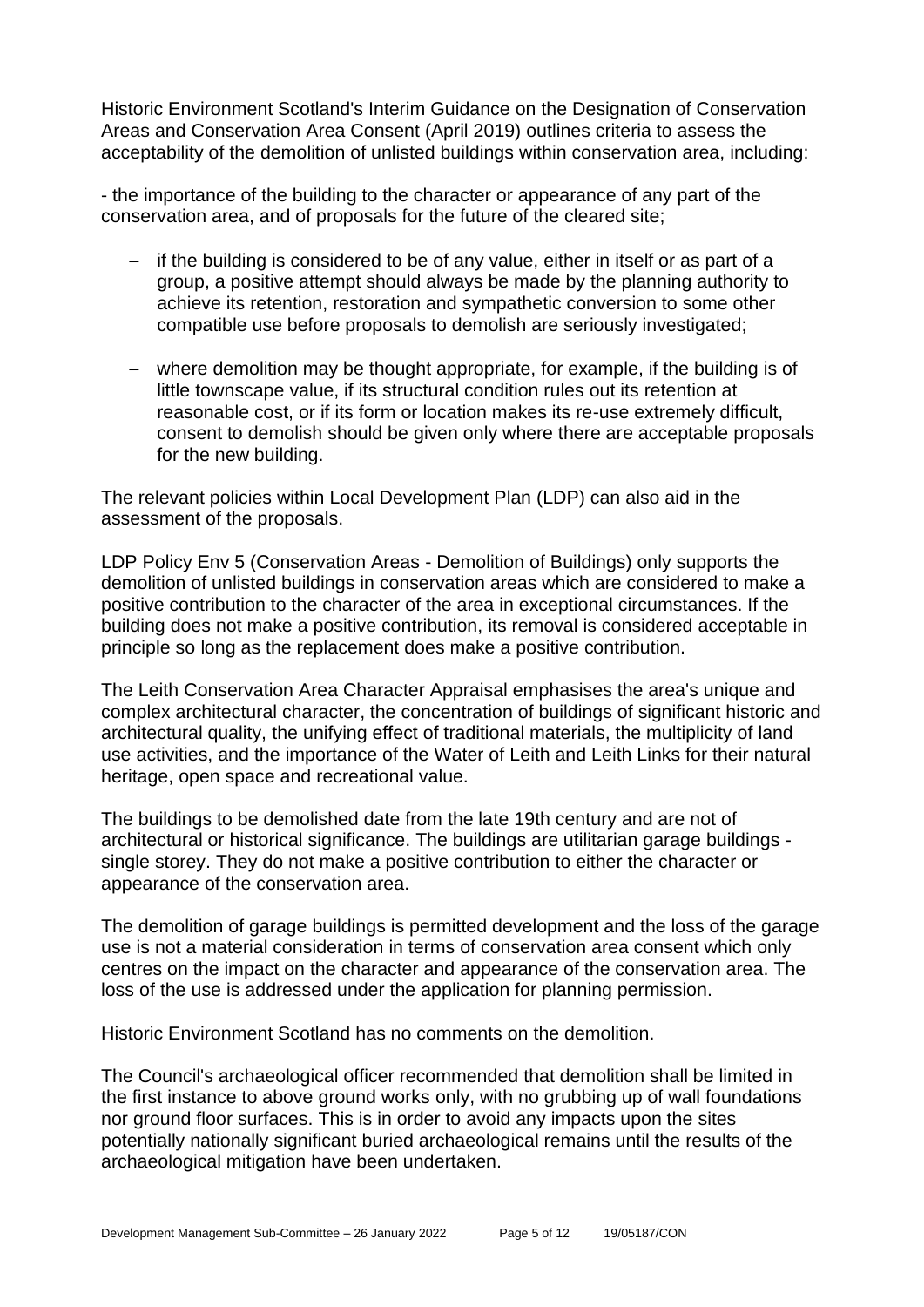Historic Environment Scotland's Interim Guidance on the Designation of Conservation Areas and Conservation Area Consent (April 2019) outlines criteria to assess the acceptability of the demolition of unlisted buildings within conservation area, including:

- the importance of the building to the character or appearance of any part of the conservation area, and of proposals for the future of the cleared site;

- − if the building is considered to be of any value, either in itself or as part of a group, a positive attempt should always be made by the planning authority to achieve its retention, restoration and sympathetic conversion to some other compatible use before proposals to demolish are seriously investigated;
- − where demolition may be thought appropriate, for example, if the building is of little townscape value, if its structural condition rules out its retention at reasonable cost, or if its form or location makes its re-use extremely difficult, consent to demolish should be given only where there are acceptable proposals for the new building.

The relevant policies within Local Development Plan (LDP) can also aid in the assessment of the proposals.

LDP Policy Env 5 (Conservation Areas - Demolition of Buildings) only supports the demolition of unlisted buildings in conservation areas which are considered to make a positive contribution to the character of the area in exceptional circumstances. If the building does not make a positive contribution, its removal is considered acceptable in principle so long as the replacement does make a positive contribution.

The Leith Conservation Area Character Appraisal emphasises the area's unique and complex architectural character, the concentration of buildings of significant historic and architectural quality, the unifying effect of traditional materials, the multiplicity of land use activities, and the importance of the Water of Leith and Leith Links for their natural heritage, open space and recreational value.

The buildings to be demolished date from the late 19th century and are not of architectural or historical significance. The buildings are utilitarian garage buildings single storey. They do not make a positive contribution to either the character or appearance of the conservation area.

The demolition of garage buildings is permitted development and the loss of the garage use is not a material consideration in terms of conservation area consent which only centres on the impact on the character and appearance of the conservation area. The loss of the use is addressed under the application for planning permission.

Historic Environment Scotland has no comments on the demolition.

The Council's archaeological officer recommended that demolition shall be limited in the first instance to above ground works only, with no grubbing up of wall foundations nor ground floor surfaces. This is in order to avoid any impacts upon the sites potentially nationally significant buried archaeological remains until the results of the archaeological mitigation have been undertaken.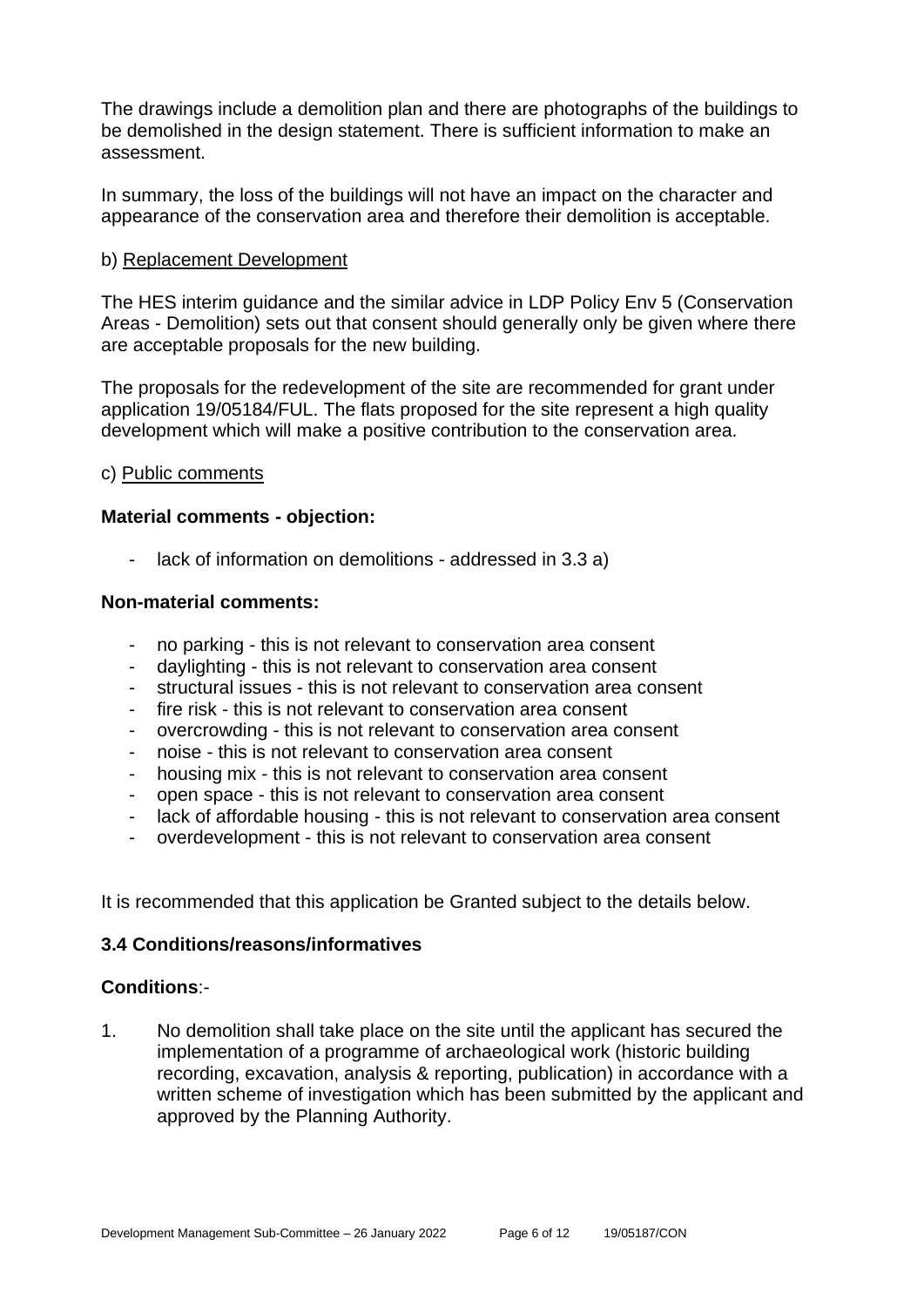The drawings include a demolition plan and there are photographs of the buildings to be demolished in the design statement. There is sufficient information to make an assessment.

In summary, the loss of the buildings will not have an impact on the character and appearance of the conservation area and therefore their demolition is acceptable.

#### b) Replacement Development

The HES interim guidance and the similar advice in LDP Policy Env 5 (Conservation Areas - Demolition) sets out that consent should generally only be given where there are acceptable proposals for the new building.

The proposals for the redevelopment of the site are recommended for grant under application 19/05184/FUL. The flats proposed for the site represent a high quality development which will make a positive contribution to the conservation area.

#### c) Public comments

#### **Material comments - objection:**

lack of information on demolitions - addressed in 3.3 a)

#### **Non-material comments:**

- no parking this is not relevant to conservation area consent
- daylighting this is not relevant to conservation area consent
- structural issues this is not relevant to conservation area consent
- fire risk this is not relevant to conservation area consent
- overcrowding this is not relevant to conservation area consent
- noise this is not relevant to conservation area consent
- housing mix this is not relevant to conservation area consent
- open space this is not relevant to conservation area consent
- lack of affordable housing this is not relevant to conservation area consent
- overdevelopment this is not relevant to conservation area consent

It is recommended that this application be Granted subject to the details below.

#### **3.4 Conditions/reasons/informatives**

#### **Conditions**:-

1. No demolition shall take place on the site until the applicant has secured the implementation of a programme of archaeological work (historic building recording, excavation, analysis & reporting, publication) in accordance with a written scheme of investigation which has been submitted by the applicant and approved by the Planning Authority.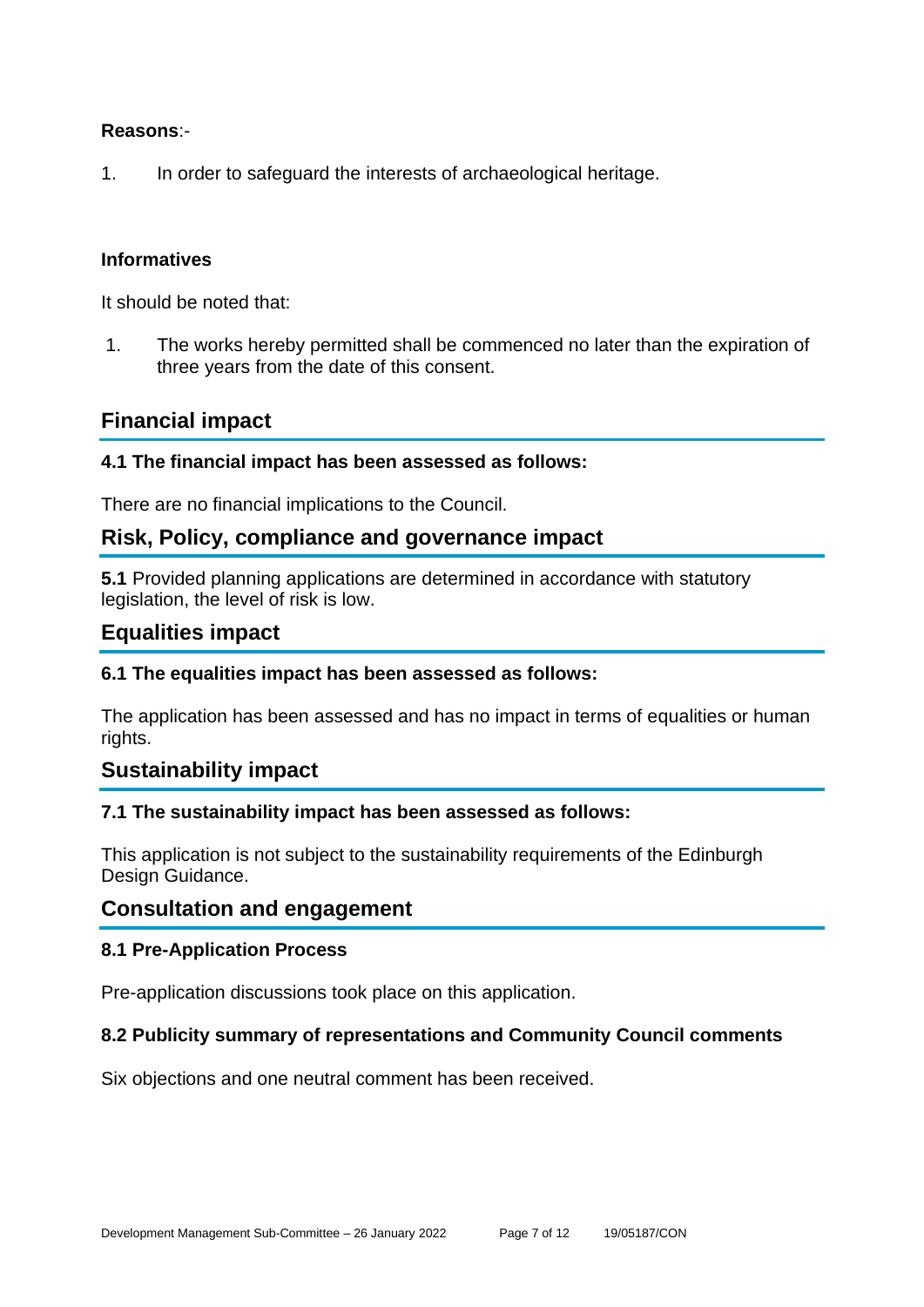#### **Reasons**:-

1. In order to safeguard the interests of archaeological heritage.

#### **Informatives**

It should be noted that:

1. The works hereby permitted shall be commenced no later than the expiration of three years from the date of this consent.

#### **Financial impact**

#### **4.1 The financial impact has been assessed as follows:**

There are no financial implications to the Council.

#### **Risk, Policy, compliance and governance impact**

**5.1** Provided planning applications are determined in accordance with statutory legislation, the level of risk is low.

#### **Equalities impact**

#### **6.1 The equalities impact has been assessed as follows:**

The application has been assessed and has no impact in terms of equalities or human rights.

#### **Sustainability impact**

#### **7.1 The sustainability impact has been assessed as follows:**

This application is not subject to the sustainability requirements of the Edinburgh Design Guidance.

#### **Consultation and engagement**

#### **8.1 Pre-Application Process**

Pre-application discussions took place on this application.

#### **8.2 Publicity summary of representations and Community Council comments**

Six objections and one neutral comment has been received.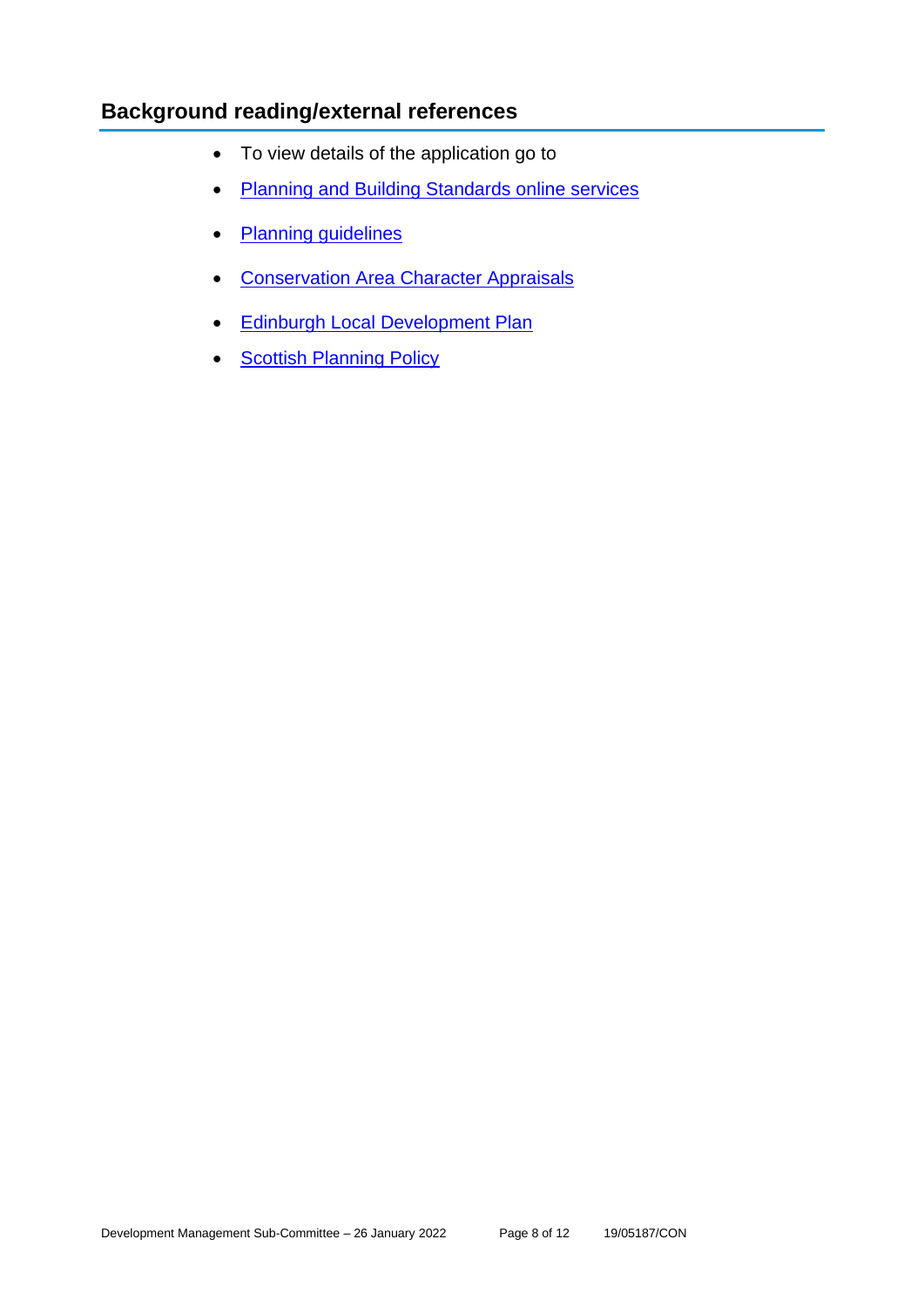## **Background reading/external references**

- To view details of the application go to
- [Planning and Building Standards online services](https://citydev-portal.edinburgh.gov.uk/idoxpa-web/search.do?action=simple&searchType=Application)
- [Planning guidelines](http://www.edinburgh.gov.uk/planningguidelines)
- [Conservation Area Character Appraisals](http://www.edinburgh.gov.uk/characterappraisals)
- [Edinburgh Local Development Plan](http://www.edinburgh.gov.uk/localdevelopmentplan)
- **[Scottish Planning Policy](http://www.scotland.gov.uk/Topics/Built-Environment/planning/Policy)**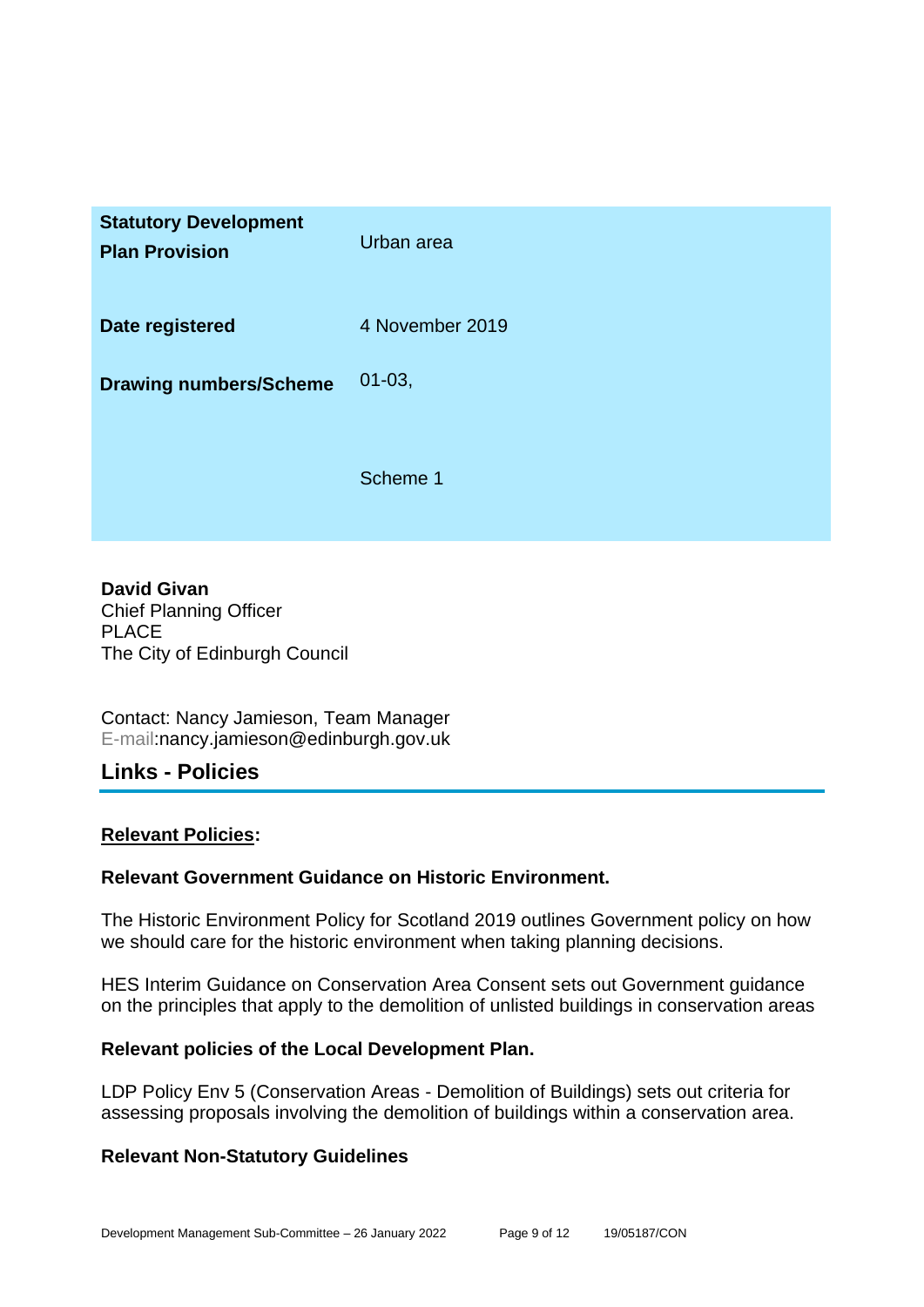| <b>Statutory Development</b><br><b>Plan Provision</b> | Urban area      |
|-------------------------------------------------------|-----------------|
| Date registered                                       | 4 November 2019 |
| <b>Drawing numbers/Scheme</b>                         | $01 - 03,$      |
|                                                       | Scheme 1        |

**David Givan** Chief Planning Officer PLACE The City of Edinburgh Council

Contact: Nancy Jamieson, Team Manager E-mail:nancy.jamieson@edinburgh.gov.uk

#### **Links - Policies**

#### **Relevant Policies:**

#### **Relevant Government Guidance on Historic Environment.**

The Historic Environment Policy for Scotland 2019 outlines Government policy on how we should care for the historic environment when taking planning decisions.

HES Interim Guidance on Conservation Area Consent sets out Government guidance on the principles that apply to the demolition of unlisted buildings in conservation areas

#### **Relevant policies of the Local Development Plan.**

LDP Policy Env 5 (Conservation Areas - Demolition of Buildings) sets out criteria for assessing proposals involving the demolition of buildings within a conservation area.

#### **Relevant Non-Statutory Guidelines**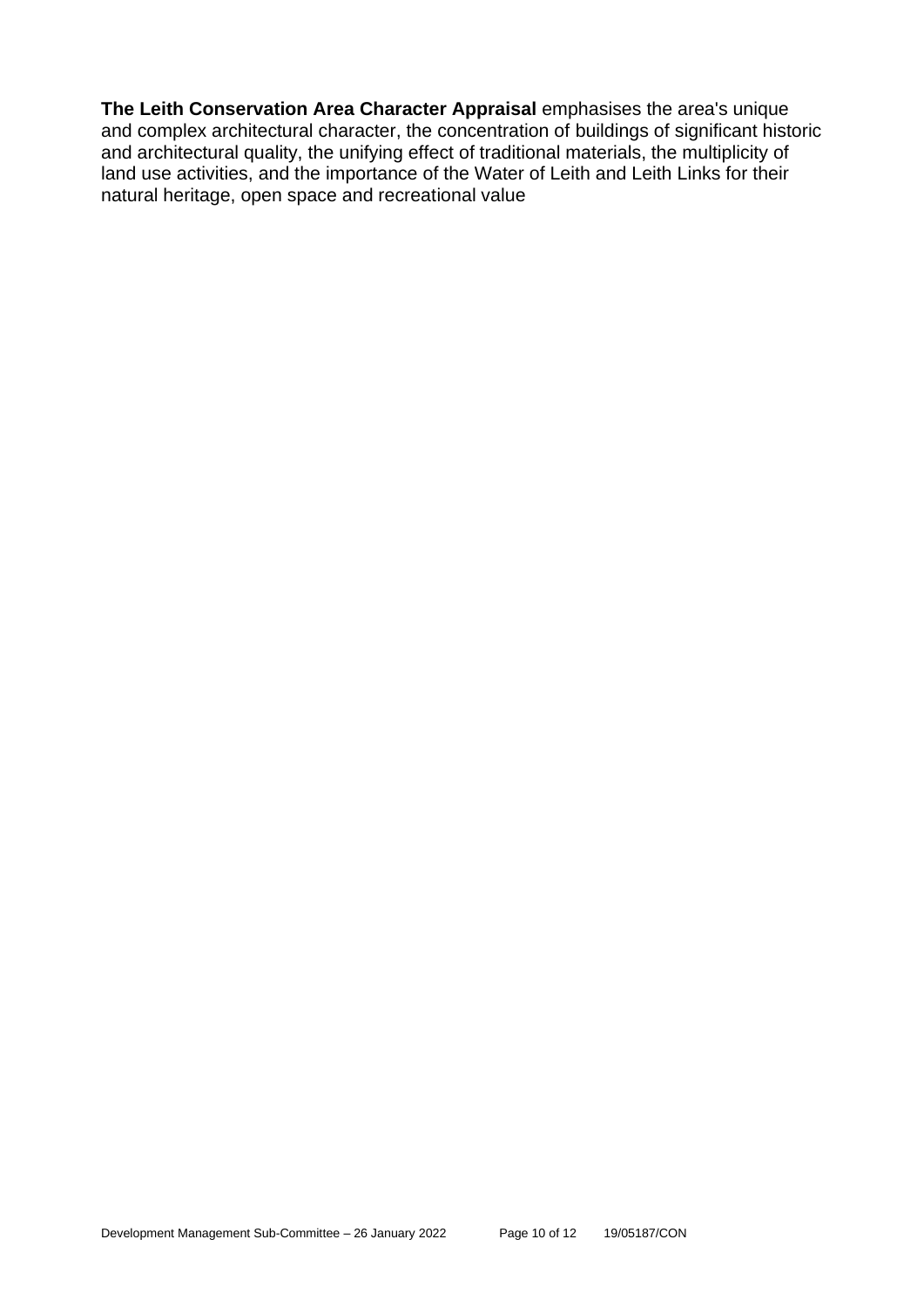**The Leith Conservation Area Character Appraisal** emphasises the area's unique and complex architectural character, the concentration of buildings of significant historic and architectural quality, the unifying effect of traditional materials, the multiplicity of land use activities, and the importance of the Water of Leith and Leith Links for their natural heritage, open space and recreational value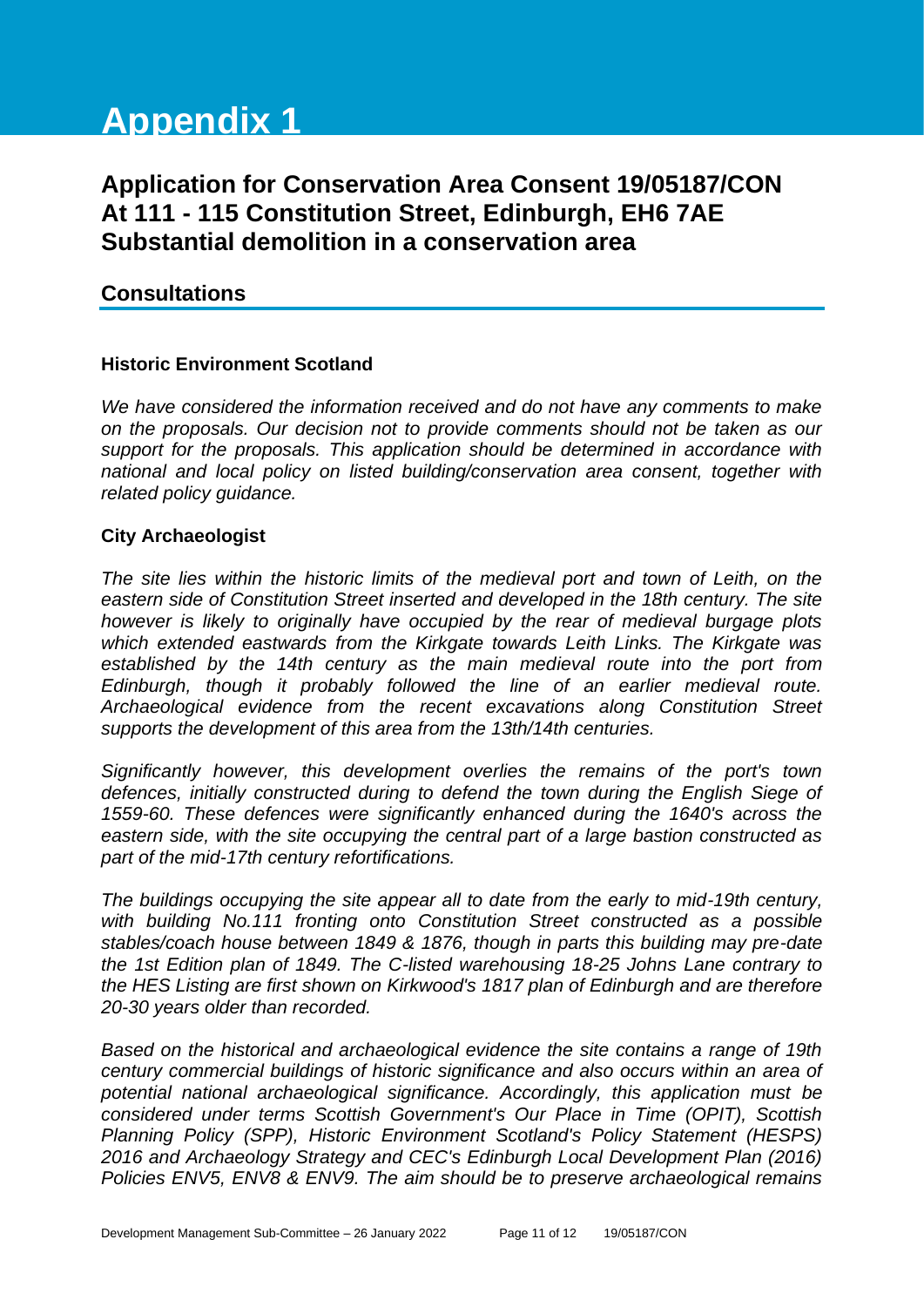# **Appendix 1**

## **Application for Conservation Area Consent 19/05187/CON At 111 - 115 Constitution Street, Edinburgh, EH6 7AE Substantial demolition in a conservation area**

#### **Consultations**

#### **Historic Environment Scotland**

*We have considered the information received and do not have any comments to make on the proposals. Our decision not to provide comments should not be taken as our support for the proposals. This application should be determined in accordance with national and local policy on listed building/conservation area consent, together with related policy guidance.*

#### **City Archaeologist**

*The site lies within the historic limits of the medieval port and town of Leith, on the eastern side of Constitution Street inserted and developed in the 18th century. The site however is likely to originally have occupied by the rear of medieval burgage plots which extended eastwards from the Kirkgate towards Leith Links. The Kirkgate was established by the 14th century as the main medieval route into the port from Edinburgh, though it probably followed the line of an earlier medieval route. Archaeological evidence from the recent excavations along Constitution Street supports the development of this area from the 13th/14th centuries.* 

*Significantly however, this development overlies the remains of the port's town defences, initially constructed during to defend the town during the English Siege of 1559-60. These defences were significantly enhanced during the 1640's across the eastern side, with the site occupying the central part of a large bastion constructed as part of the mid-17th century refortifications.*

*The buildings occupying the site appear all to date from the early to mid-19th century, with building No.111 fronting onto Constitution Street constructed as a possible stables/coach house between 1849 & 1876, though in parts this building may pre-date the 1st Edition plan of 1849. The C-listed warehousing 18-25 Johns Lane contrary to the HES Listing are first shown on Kirkwood's 1817 plan of Edinburgh and are therefore 20-30 years older than recorded.* 

*Based on the historical and archaeological evidence the site contains a range of 19th century commercial buildings of historic significance and also occurs within an area of potential national archaeological significance. Accordingly, this application must be considered under terms Scottish Government's Our Place in Time (OPIT), Scottish Planning Policy (SPP), Historic Environment Scotland's Policy Statement (HESPS) 2016 and Archaeology Strategy and CEC's Edinburgh Local Development Plan (2016) Policies ENV5, ENV8 & ENV9. The aim should be to preserve archaeological remains*